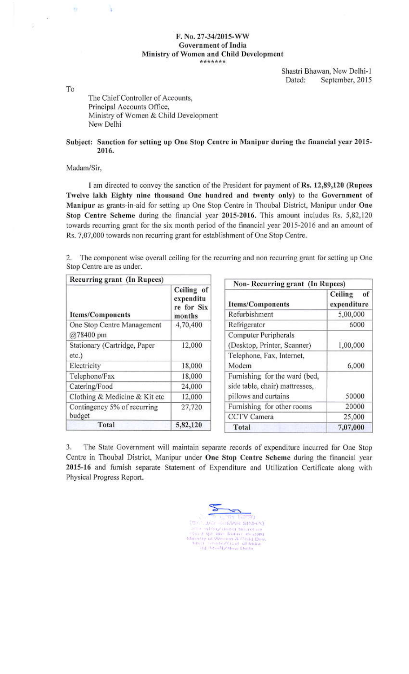## F. No. 27-34/2015-WW **Government of India** Ministry of Women and Child Development \*\*\*\*\*\*\*

Shastri Bhawan, New Delhi-1 Dated: September, 2015

To

 $\overline{u}$ 

Ÿ.

k

## The Chief Controller of Accounts, Principal Accounts Office, Ministry of Women & Child Development New Delhi

## Subject: Sanction for setting up One Stop Centre in Manipur during the financial year 2015-2016.

## Madam/Sir,

I am directed to convey the sanction of the President for payment of Rs. 12,89,120 (Rupees Twelve lakh Eighty nine thousand One hundred and twenty only) to the Government of Manipur as grants-in-aid for setting up One Stop Centre in Thoubal District, Manipur under One Stop Centre Scheme during the financial year 2015-2016. This amount includes Rs. 5,82,120 towards recurring grant for the six month period of the financial year 2015-2016 and an amount of Rs. 7,07,000 towards non recurring grant for establishment of One Stop Centre.

2. The component wise overall ceiling for the recurring and non recurring grant for setting up One Stop Centre are as under.

| Recurring grant (In Rupees)             |                                                     | Non-Recurring grant (In Rupees)                                                         |                              |
|-----------------------------------------|-----------------------------------------------------|-----------------------------------------------------------------------------------------|------------------------------|
|                                         | Ceiling of<br>expenditu<br>re for Six               | <b>Items/Components</b>                                                                 | of<br>Ceiling<br>expenditure |
| <b>Items/Components</b>                 | months                                              | Refurbishment                                                                           | 5,00,000                     |
| One Stop Centre Management<br>@78400 pm | 4,70,400                                            | Refrigerator                                                                            | 6000                         |
|                                         |                                                     | Computer Peripherals                                                                    |                              |
| Stationary (Cartridge, Paper            | 12,000                                              | (Desktop, Printer, Scanner)                                                             | 1,00,000                     |
| etc.)                                   |                                                     | Telephone, Fax, Internet,                                                               |                              |
| Electricity                             | 18,000                                              | Modem                                                                                   | 6,000                        |
| Telephone/Fax                           | 18,000                                              | Furnishing for the ward (bed,<br>side table, chair) mattresses,<br>pillows and curtains |                              |
| Catering/Food                           | 24,000                                              |                                                                                         |                              |
| Clothing & Medicine & Kit etc           | 12,000                                              |                                                                                         | 50000                        |
| Contingency 5% of recurring             | Furnishing for other rooms<br>27,720<br>CCTV Camera | 20000                                                                                   |                              |
| budget                                  |                                                     |                                                                                         | 25,000                       |
| Total                                   | 5,82,120                                            | Total                                                                                   | 7,07,000                     |

3. The State Government will maintain separate records of expenditure incurred for One Stop Centre in Thoubal District, Manipur under One Stop Centre Scheme during the financial year 2015-16 and furnish separate Statement of Expenditure and Utilization Certificate along with Physical Progress Report.

**JAY KUMAR SINHA)**  $\begin{array}{ll} \alpha & \text{sub-Devy} \\ \text{c.t.} & \text{up} \\ \text{c.t.} & \text{up} \\ \text{c.t.} & \text{up} \\ \text{c.t.} & \text{v} \\ \text{c.t.} & \text{v} \\ \text{c.t.} & \text{v} \\ \text{c.t.} & \text{v} \\ \text{c.t.} & \text{v} \\ \text{c.t.} & \text{v} \\ \text{c.t.} & \text{v} \\ \text{c.t.} & \text{v} \\ \text{c.t.} & \text{v} \\ \text{c.t.} & \text{v} \\ \text{c.t.} & \text{v} \\ \text{c.t$